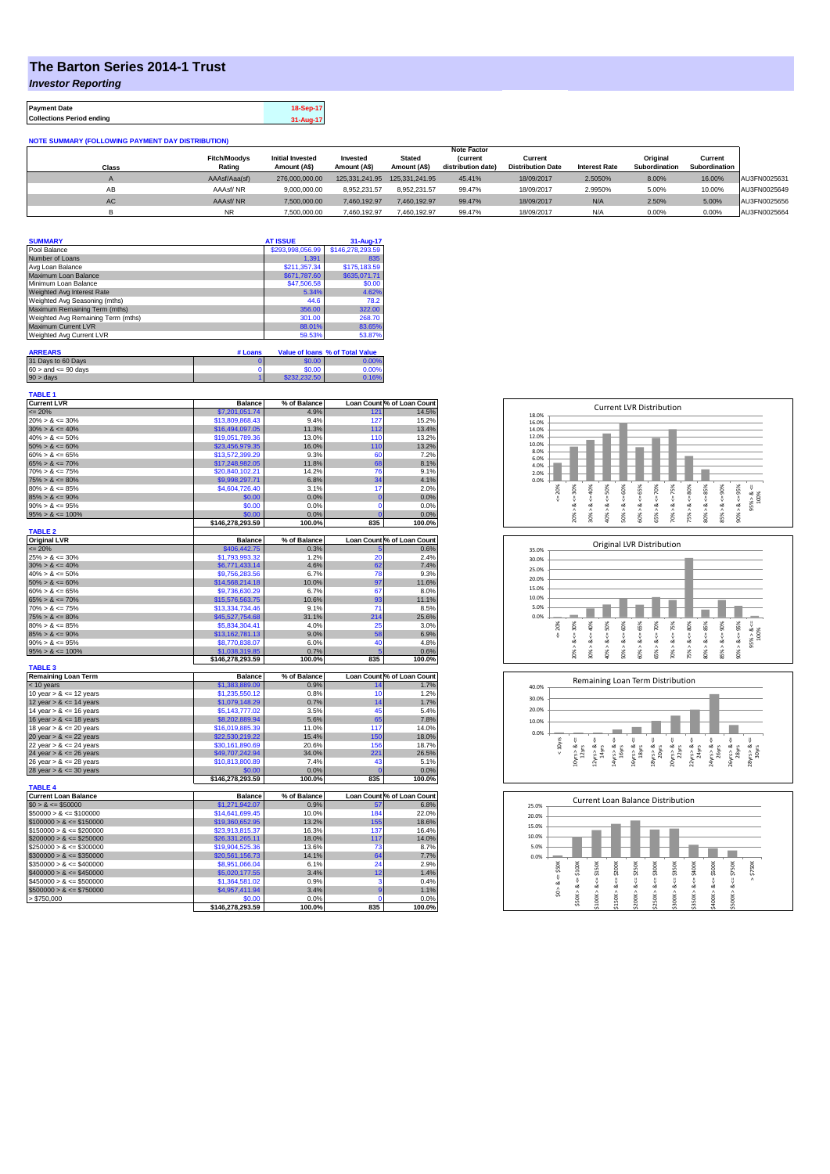## **The Barton Series 2014-1 Trust**

*Investor Reporting*

| <b>Payment Date</b>              | 18-Sep-17 |
|----------------------------------|-----------|
| <b>Collections Period ending</b> | 31-Aug-17 |

**NOTE SUMMARY (FOLLOWING PAYMENT DAY DISTRIBUTION)**

|       |                     |                         |                |                | <b>Note Factor</b> |                          |                      |               |               |              |
|-------|---------------------|-------------------------|----------------|----------------|--------------------|--------------------------|----------------------|---------------|---------------|--------------|
|       | <b>Fitch/Moodys</b> | <b>Initial Invested</b> | Invested       | <b>Stated</b>  | <b>(current</b>    | Current                  |                      | Original      | Current       |              |
| Class | Rating              | Amount (A\$)            | Amount (A\$)   | Amount (A\$)   | distribution date) | <b>Distribution Date</b> | <b>Interest Rate</b> | Subordination | Subordination |              |
|       | AAAsf/Aaa(sf)       | 276.000.000.00          | 125.331.241.95 | 125.331.241.95 | 45.41%             | 18/09/2017               | 2.5050%              | 8.00%         | 16.00%        | AU3FN0025631 |
| AB    | AAAsf/NR            | 9.000.000.00            | 8.952.231.57   | 8.952.231.57   | 99.47%             | 18/09/2017               | 2.9950%              | 5.00%         | 10.00%        | AU3FN0025649 |
| AC    | AAAsf/NR            | 7.500.000.00            | 7.460.192.97   | 7.460.192.97   | 99.47%             | 18/09/2017               | N/A                  | 2.50%         | 5.00%         | AU3FN0025656 |
|       |                     | 7.500.000.00            | 7.460.192.97   | 7.460.192.97   | 99.47%             | 18/09/2017               | N/A                  | 0.00%         | 0.00%         | AU3FN0025664 |

| <b>SUMMARY</b>                     |         | <b>AT ISSUE</b>  | 31-Aug-17                              |
|------------------------------------|---------|------------------|----------------------------------------|
| Pool Balance                       |         | \$293,998,056.99 | \$146,278,293.59                       |
| Number of Loans                    |         | 1.391            | 835                                    |
| Avg Loan Balance                   |         | \$211,357.34     | \$175,183.59                           |
| Maximum Loan Balance               |         | \$671,787.60     | \$635.071.71                           |
| Minimum Loan Balance               |         | \$47,506.58      | \$0.00                                 |
| Weighted Avg Interest Rate         |         | 5.34%            | 4.62%                                  |
| Weighted Avg Seasoning (mths)      |         | 44.6             | 78.2                                   |
| Maximum Remaining Term (mths)      |         | 356.00           | 322.00                                 |
| Weighted Avg Remaining Term (mths) |         | 301.00           | 268.70                                 |
| Maximum Current LVR                |         | 88.01%           | 83.65%                                 |
| Weighted Avg Current LVR           |         | 59.53%           | 53.87%                                 |
|                                    |         |                  |                                        |
| <b>ARREARS</b>                     | # Loans |                  | <b>Value of loans % of Total Value</b> |
| 31 Days to 60 Days                 |         | \$0.00           | 0.00%                                  |
| $60 >$ and $\leq 90$ days          |         | \$0.00           | 0.00%                                  |
| $90 > \text{days}$                 |         | \$232,232.50     | 0.16%                                  |

| <b>Current LVR</b><br><b>Balance</b><br>% of Balance<br>$= 20%$<br>\$7,201,051.74<br>4.9%<br>121<br>$20\% > 8 \le 30\%$<br>\$13,809,868.43<br>9.4%<br>127<br>$30\% > 8 \le 40\%$<br>\$16,494,097.05<br>11.3%<br>112<br>$40\% > 8 \le 50\%$<br>\$19,051,789.36<br>13.0%<br>110<br>$50\% > 8 \le 60\%$<br>\$23,456,979.35<br>16.0%<br>110<br>$60\% > 8 \le 65\%$<br>\$13,572,399.29<br>9.3%<br>60<br>$65\% > 8 \le 70\%$<br>\$17,248,982.05<br>11.8%<br>68<br>$70\% > 8 \le 75\%$<br>\$20,840,102.21<br>14.2%<br>76<br>34<br>\$9,998,297.71<br>6.8%<br>$80\% > 8 \leq 85\%$<br>\$4,604,726.40<br>3.1%<br>17<br>\$0.00<br>0.0%<br>$\overline{0}$<br>\$0.00<br>0.0%<br>$\mathbf 0$<br>\$0.00<br>Ō<br>0.0%<br>100.0%<br>835<br>\$146,278,293.59<br><b>TABLE 2</b><br><b>Balance</b><br>% of Balance<br>$\leq$ 20%<br>\$406,442.75<br>0.3%<br>5<br>$25\% > 8 \le 30\%$<br>\$1,793,993.32<br>1.2%<br>20<br>4.6%<br>62<br>$30\% > 8 \le 40\%$<br>\$6,771,433.14<br>78<br>$40\% > 8 \le 50\%$<br>\$9,756,283,56<br>6.7%<br>10.0%<br>97<br>\$14,568,214.18<br>$60\% > 8 \le 65\%$<br>\$9,736,630.29<br>6.7%<br>67<br>\$15,576,563.75<br>10.6%<br>93<br>$70\% > 8 \le 75\%$<br>\$13,334,734.46<br>9.1%<br>71<br>31.1%<br>214<br>\$45,527,754.68<br>4.0%<br>25<br>\$5,834,304.41<br>$85\% > 8 \le 90\%$<br>9.0%<br>58<br>\$13,162,781.13<br>6.0%<br>40<br>\$8,770,838.07<br>\$1,038,319.85<br>0.7%<br>Ŗ<br>835<br>\$146,278,293.59<br>100.0%<br><b>TABLE 3</b><br><b>Balance</b><br>% of Balance<br>\$1,383,889.09<br>0.9%<br>$< 10$ years<br>14<br>10 year $> 8 \le 12$ years<br>\$1,235,550.12<br>0.8%<br>10<br>0.7%<br>12 year $> 8 \le 14$ years<br>\$1,079,148.29<br>14<br>14 year $> 8 \le 16$ years<br>\$5,143,777.02<br>3.5%<br>45<br>\$8,202,889.94<br>5.6%<br>65<br>18 year $> 8 \le 20$ years<br>\$16,019,885.39<br>11.0%<br>117<br>150<br>\$22,530,219.22<br>15.4%<br>\$30,161,890.69<br>20.6%<br>156<br>\$49,707,242.94<br>221<br>34.0%<br>$26$ year $> 8 \le 28$ years<br>\$10,813,800.89<br>7.4%<br>43<br>\$0.00<br>0.0%<br>$\Omega$<br>\$146,278,293.59<br>100.0%<br>835<br><b>TABLE 4</b><br>% of Balance<br><b>Balance</b><br>$$0 > 8 \le $50000$<br>\$1,271,942.07<br>0.9%<br>57<br>184<br>$$50000 > 8 \le $100000$<br>\$14,641,699.45<br>10.0%<br>\$19,360,652.95<br>13.2%<br>155<br>\$23,913,815.37<br>16.3%<br>137<br>18.0%<br>117<br>\$26,331,265.11<br>$$250000 > 8 \leq $300000$<br>\$19,904,525.36<br>13.6%<br>73<br>\$20,561,156.73<br>14.1%<br>64<br>24<br>\$8,951,066.04<br>6.1%<br>$$400000 > 8 \le $450000$<br>\$5,020,177.55<br>3.4%<br>12 | Loan Count % of Loan Count<br>14.5%<br>15.2%<br>13.4%<br>13.2%<br>13.2%<br>7.2%<br>8.1%<br>9.1%<br>4.1%<br>2.0%<br>0.0%<br>0.0%<br>0.0%<br>100.0%<br>Loan Count % of Loan Count<br>0.6%<br>2.4%<br>7.4%<br>9.3%<br>11.6%<br>8.0%<br>11.1%<br>8.5%<br>25.6%<br>3.0%<br>6.9%<br>4.8%<br>0.6%<br>100.0%<br>Loan Count % of Loan Count<br>1.7%<br>1.2%<br>1.7%<br>5.4%<br>7.8%<br>14.0%<br>18.0%<br>18.7%<br>26.5%<br>5.1%<br>0.0%<br>100.0%<br>Loan Count % of Loan Count<br>6.8%<br>22.0%<br>18.6%<br>16.4%<br>14.0%<br>8.7% |             |              |                          | <b>TABLE 1</b>                           |
|----------------------------------------------------------------------------------------------------------------------------------------------------------------------------------------------------------------------------------------------------------------------------------------------------------------------------------------------------------------------------------------------------------------------------------------------------------------------------------------------------------------------------------------------------------------------------------------------------------------------------------------------------------------------------------------------------------------------------------------------------------------------------------------------------------------------------------------------------------------------------------------------------------------------------------------------------------------------------------------------------------------------------------------------------------------------------------------------------------------------------------------------------------------------------------------------------------------------------------------------------------------------------------------------------------------------------------------------------------------------------------------------------------------------------------------------------------------------------------------------------------------------------------------------------------------------------------------------------------------------------------------------------------------------------------------------------------------------------------------------------------------------------------------------------------------------------------------------------------------------------------------------------------------------------------------------------------------------------------------------------------------------------------------------------------------------------------------------------------------------------------------------------------------------------------------------------------------------------------------------------------------------------------------------------------------------------------------------------------------------------------------------------------------------------------------------------------------------------------------------------------------------------------------------------------------|----------------------------------------------------------------------------------------------------------------------------------------------------------------------------------------------------------------------------------------------------------------------------------------------------------------------------------------------------------------------------------------------------------------------------------------------------------------------------------------------------------------------------|-------------|--------------|--------------------------|------------------------------------------|
|                                                                                                                                                                                                                                                                                                                                                                                                                                                                                                                                                                                                                                                                                                                                                                                                                                                                                                                                                                                                                                                                                                                                                                                                                                                                                                                                                                                                                                                                                                                                                                                                                                                                                                                                                                                                                                                                                                                                                                                                                                                                                                                                                                                                                                                                                                                                                                                                                                                                                                                                                                |                                                                                                                                                                                                                                                                                                                                                                                                                                                                                                                            |             |              |                          |                                          |
|                                                                                                                                                                                                                                                                                                                                                                                                                                                                                                                                                                                                                                                                                                                                                                                                                                                                                                                                                                                                                                                                                                                                                                                                                                                                                                                                                                                                                                                                                                                                                                                                                                                                                                                                                                                                                                                                                                                                                                                                                                                                                                                                                                                                                                                                                                                                                                                                                                                                                                                                                                |                                                                                                                                                                                                                                                                                                                                                                                                                                                                                                                            |             |              |                          |                                          |
|                                                                                                                                                                                                                                                                                                                                                                                                                                                                                                                                                                                                                                                                                                                                                                                                                                                                                                                                                                                                                                                                                                                                                                                                                                                                                                                                                                                                                                                                                                                                                                                                                                                                                                                                                                                                                                                                                                                                                                                                                                                                                                                                                                                                                                                                                                                                                                                                                                                                                                                                                                |                                                                                                                                                                                                                                                                                                                                                                                                                                                                                                                            |             |              |                          |                                          |
|                                                                                                                                                                                                                                                                                                                                                                                                                                                                                                                                                                                                                                                                                                                                                                                                                                                                                                                                                                                                                                                                                                                                                                                                                                                                                                                                                                                                                                                                                                                                                                                                                                                                                                                                                                                                                                                                                                                                                                                                                                                                                                                                                                                                                                                                                                                                                                                                                                                                                                                                                                |                                                                                                                                                                                                                                                                                                                                                                                                                                                                                                                            |             |              |                          |                                          |
|                                                                                                                                                                                                                                                                                                                                                                                                                                                                                                                                                                                                                                                                                                                                                                                                                                                                                                                                                                                                                                                                                                                                                                                                                                                                                                                                                                                                                                                                                                                                                                                                                                                                                                                                                                                                                                                                                                                                                                                                                                                                                                                                                                                                                                                                                                                                                                                                                                                                                                                                                                |                                                                                                                                                                                                                                                                                                                                                                                                                                                                                                                            |             |              |                          |                                          |
|                                                                                                                                                                                                                                                                                                                                                                                                                                                                                                                                                                                                                                                                                                                                                                                                                                                                                                                                                                                                                                                                                                                                                                                                                                                                                                                                                                                                                                                                                                                                                                                                                                                                                                                                                                                                                                                                                                                                                                                                                                                                                                                                                                                                                                                                                                                                                                                                                                                                                                                                                                |                                                                                                                                                                                                                                                                                                                                                                                                                                                                                                                            |             |              |                          |                                          |
|                                                                                                                                                                                                                                                                                                                                                                                                                                                                                                                                                                                                                                                                                                                                                                                                                                                                                                                                                                                                                                                                                                                                                                                                                                                                                                                                                                                                                                                                                                                                                                                                                                                                                                                                                                                                                                                                                                                                                                                                                                                                                                                                                                                                                                                                                                                                                                                                                                                                                                                                                                |                                                                                                                                                                                                                                                                                                                                                                                                                                                                                                                            |             |              |                          |                                          |
| $75\% > 8 \le 80\%$<br>$85\% > 8 \le 90\%$<br>$90\% > 8 \le 95\%$<br>$95\% > 8 \le 100\%$<br>$50\% > 8 \le 60\%$<br>$65\% > 8 \le 70\%$<br>$75\% > 8 \le 80\%$<br>$80\% > 8 \le 85\%$<br>$90\% > 8 \le 95\%$<br>$95\% > 8 \le 100\%$<br>16 year $> 8 \le 18$ years<br>20 year $> 8 \le 22$ years<br>22 year $> 8 \le 24$ years<br>24 year $> 8 \le 26$ years<br>28 year $> 8 \le 30$ years<br><b>Current Loan Balance</b><br>$$100000 > 8 \le $150000$<br>$$150000 > 8 \le $200000$<br>$$200000 > 8 \leq $250000$<br>$$300000 > 8 \leq $350000$<br>$$350000 > 8 \le $400000$                                                                                                                                                                                                                                                                                                                                                                                                                                                                                                                                                                                                                                                                                                                                                                                                                                                                                                                                                                                                                                                                                                                                                                                                                                                                                                                                                                                                                                                                                                                                                                                                                                                                                                                                                                                                                                                                                                                                                                                   |                                                                                                                                                                                                                                                                                                                                                                                                                                                                                                                            |             |              |                          |                                          |
|                                                                                                                                                                                                                                                                                                                                                                                                                                                                                                                                                                                                                                                                                                                                                                                                                                                                                                                                                                                                                                                                                                                                                                                                                                                                                                                                                                                                                                                                                                                                                                                                                                                                                                                                                                                                                                                                                                                                                                                                                                                                                                                                                                                                                                                                                                                                                                                                                                                                                                                                                                |                                                                                                                                                                                                                                                                                                                                                                                                                                                                                                                            |             |              |                          |                                          |
|                                                                                                                                                                                                                                                                                                                                                                                                                                                                                                                                                                                                                                                                                                                                                                                                                                                                                                                                                                                                                                                                                                                                                                                                                                                                                                                                                                                                                                                                                                                                                                                                                                                                                                                                                                                                                                                                                                                                                                                                                                                                                                                                                                                                                                                                                                                                                                                                                                                                                                                                                                |                                                                                                                                                                                                                                                                                                                                                                                                                                                                                                                            |             |              |                          |                                          |
|                                                                                                                                                                                                                                                                                                                                                                                                                                                                                                                                                                                                                                                                                                                                                                                                                                                                                                                                                                                                                                                                                                                                                                                                                                                                                                                                                                                                                                                                                                                                                                                                                                                                                                                                                                                                                                                                                                                                                                                                                                                                                                                                                                                                                                                                                                                                                                                                                                                                                                                                                                |                                                                                                                                                                                                                                                                                                                                                                                                                                                                                                                            |             |              |                          |                                          |
|                                                                                                                                                                                                                                                                                                                                                                                                                                                                                                                                                                                                                                                                                                                                                                                                                                                                                                                                                                                                                                                                                                                                                                                                                                                                                                                                                                                                                                                                                                                                                                                                                                                                                                                                                                                                                                                                                                                                                                                                                                                                                                                                                                                                                                                                                                                                                                                                                                                                                                                                                                |                                                                                                                                                                                                                                                                                                                                                                                                                                                                                                                            |             |              |                          |                                          |
|                                                                                                                                                                                                                                                                                                                                                                                                                                                                                                                                                                                                                                                                                                                                                                                                                                                                                                                                                                                                                                                                                                                                                                                                                                                                                                                                                                                                                                                                                                                                                                                                                                                                                                                                                                                                                                                                                                                                                                                                                                                                                                                                                                                                                                                                                                                                                                                                                                                                                                                                                                |                                                                                                                                                                                                                                                                                                                                                                                                                                                                                                                            |             |              |                          |                                          |
|                                                                                                                                                                                                                                                                                                                                                                                                                                                                                                                                                                                                                                                                                                                                                                                                                                                                                                                                                                                                                                                                                                                                                                                                                                                                                                                                                                                                                                                                                                                                                                                                                                                                                                                                                                                                                                                                                                                                                                                                                                                                                                                                                                                                                                                                                                                                                                                                                                                                                                                                                                |                                                                                                                                                                                                                                                                                                                                                                                                                                                                                                                            |             |              |                          |                                          |
|                                                                                                                                                                                                                                                                                                                                                                                                                                                                                                                                                                                                                                                                                                                                                                                                                                                                                                                                                                                                                                                                                                                                                                                                                                                                                                                                                                                                                                                                                                                                                                                                                                                                                                                                                                                                                                                                                                                                                                                                                                                                                                                                                                                                                                                                                                                                                                                                                                                                                                                                                                |                                                                                                                                                                                                                                                                                                                                                                                                                                                                                                                            |             |              |                          |                                          |
|                                                                                                                                                                                                                                                                                                                                                                                                                                                                                                                                                                                                                                                                                                                                                                                                                                                                                                                                                                                                                                                                                                                                                                                                                                                                                                                                                                                                                                                                                                                                                                                                                                                                                                                                                                                                                                                                                                                                                                                                                                                                                                                                                                                                                                                                                                                                                                                                                                                                                                                                                                |                                                                                                                                                                                                                                                                                                                                                                                                                                                                                                                            |             |              |                          |                                          |
|                                                                                                                                                                                                                                                                                                                                                                                                                                                                                                                                                                                                                                                                                                                                                                                                                                                                                                                                                                                                                                                                                                                                                                                                                                                                                                                                                                                                                                                                                                                                                                                                                                                                                                                                                                                                                                                                                                                                                                                                                                                                                                                                                                                                                                                                                                                                                                                                                                                                                                                                                                |                                                                                                                                                                                                                                                                                                                                                                                                                                                                                                                            |             |              |                          | <b>Original LVR</b>                      |
| <b>Remaining Loan Term</b>                                                                                                                                                                                                                                                                                                                                                                                                                                                                                                                                                                                                                                                                                                                                                                                                                                                                                                                                                                                                                                                                                                                                                                                                                                                                                                                                                                                                                                                                                                                                                                                                                                                                                                                                                                                                                                                                                                                                                                                                                                                                                                                                                                                                                                                                                                                                                                                                                                                                                                                                     |                                                                                                                                                                                                                                                                                                                                                                                                                                                                                                                            |             |              |                          |                                          |
|                                                                                                                                                                                                                                                                                                                                                                                                                                                                                                                                                                                                                                                                                                                                                                                                                                                                                                                                                                                                                                                                                                                                                                                                                                                                                                                                                                                                                                                                                                                                                                                                                                                                                                                                                                                                                                                                                                                                                                                                                                                                                                                                                                                                                                                                                                                                                                                                                                                                                                                                                                |                                                                                                                                                                                                                                                                                                                                                                                                                                                                                                                            |             |              |                          |                                          |
|                                                                                                                                                                                                                                                                                                                                                                                                                                                                                                                                                                                                                                                                                                                                                                                                                                                                                                                                                                                                                                                                                                                                                                                                                                                                                                                                                                                                                                                                                                                                                                                                                                                                                                                                                                                                                                                                                                                                                                                                                                                                                                                                                                                                                                                                                                                                                                                                                                                                                                                                                                |                                                                                                                                                                                                                                                                                                                                                                                                                                                                                                                            |             |              |                          |                                          |
|                                                                                                                                                                                                                                                                                                                                                                                                                                                                                                                                                                                                                                                                                                                                                                                                                                                                                                                                                                                                                                                                                                                                                                                                                                                                                                                                                                                                                                                                                                                                                                                                                                                                                                                                                                                                                                                                                                                                                                                                                                                                                                                                                                                                                                                                                                                                                                                                                                                                                                                                                                |                                                                                                                                                                                                                                                                                                                                                                                                                                                                                                                            |             |              |                          |                                          |
|                                                                                                                                                                                                                                                                                                                                                                                                                                                                                                                                                                                                                                                                                                                                                                                                                                                                                                                                                                                                                                                                                                                                                                                                                                                                                                                                                                                                                                                                                                                                                                                                                                                                                                                                                                                                                                                                                                                                                                                                                                                                                                                                                                                                                                                                                                                                                                                                                                                                                                                                                                |                                                                                                                                                                                                                                                                                                                                                                                                                                                                                                                            |             |              |                          |                                          |
|                                                                                                                                                                                                                                                                                                                                                                                                                                                                                                                                                                                                                                                                                                                                                                                                                                                                                                                                                                                                                                                                                                                                                                                                                                                                                                                                                                                                                                                                                                                                                                                                                                                                                                                                                                                                                                                                                                                                                                                                                                                                                                                                                                                                                                                                                                                                                                                                                                                                                                                                                                |                                                                                                                                                                                                                                                                                                                                                                                                                                                                                                                            |             |              |                          |                                          |
|                                                                                                                                                                                                                                                                                                                                                                                                                                                                                                                                                                                                                                                                                                                                                                                                                                                                                                                                                                                                                                                                                                                                                                                                                                                                                                                                                                                                                                                                                                                                                                                                                                                                                                                                                                                                                                                                                                                                                                                                                                                                                                                                                                                                                                                                                                                                                                                                                                                                                                                                                                |                                                                                                                                                                                                                                                                                                                                                                                                                                                                                                                            |             |              |                          |                                          |
|                                                                                                                                                                                                                                                                                                                                                                                                                                                                                                                                                                                                                                                                                                                                                                                                                                                                                                                                                                                                                                                                                                                                                                                                                                                                                                                                                                                                                                                                                                                                                                                                                                                                                                                                                                                                                                                                                                                                                                                                                                                                                                                                                                                                                                                                                                                                                                                                                                                                                                                                                                |                                                                                                                                                                                                                                                                                                                                                                                                                                                                                                                            |             |              |                          |                                          |
|                                                                                                                                                                                                                                                                                                                                                                                                                                                                                                                                                                                                                                                                                                                                                                                                                                                                                                                                                                                                                                                                                                                                                                                                                                                                                                                                                                                                                                                                                                                                                                                                                                                                                                                                                                                                                                                                                                                                                                                                                                                                                                                                                                                                                                                                                                                                                                                                                                                                                                                                                                |                                                                                                                                                                                                                                                                                                                                                                                                                                                                                                                            |             |              |                          |                                          |
|                                                                                                                                                                                                                                                                                                                                                                                                                                                                                                                                                                                                                                                                                                                                                                                                                                                                                                                                                                                                                                                                                                                                                                                                                                                                                                                                                                                                                                                                                                                                                                                                                                                                                                                                                                                                                                                                                                                                                                                                                                                                                                                                                                                                                                                                                                                                                                                                                                                                                                                                                                |                                                                                                                                                                                                                                                                                                                                                                                                                                                                                                                            |             |              |                          |                                          |
|                                                                                                                                                                                                                                                                                                                                                                                                                                                                                                                                                                                                                                                                                                                                                                                                                                                                                                                                                                                                                                                                                                                                                                                                                                                                                                                                                                                                                                                                                                                                                                                                                                                                                                                                                                                                                                                                                                                                                                                                                                                                                                                                                                                                                                                                                                                                                                                                                                                                                                                                                                |                                                                                                                                                                                                                                                                                                                                                                                                                                                                                                                            |             |              |                          |                                          |
|                                                                                                                                                                                                                                                                                                                                                                                                                                                                                                                                                                                                                                                                                                                                                                                                                                                                                                                                                                                                                                                                                                                                                                                                                                                                                                                                                                                                                                                                                                                                                                                                                                                                                                                                                                                                                                                                                                                                                                                                                                                                                                                                                                                                                                                                                                                                                                                                                                                                                                                                                                |                                                                                                                                                                                                                                                                                                                                                                                                                                                                                                                            |             |              |                          |                                          |
|                                                                                                                                                                                                                                                                                                                                                                                                                                                                                                                                                                                                                                                                                                                                                                                                                                                                                                                                                                                                                                                                                                                                                                                                                                                                                                                                                                                                                                                                                                                                                                                                                                                                                                                                                                                                                                                                                                                                                                                                                                                                                                                                                                                                                                                                                                                                                                                                                                                                                                                                                                |                                                                                                                                                                                                                                                                                                                                                                                                                                                                                                                            |             |              |                          |                                          |
|                                                                                                                                                                                                                                                                                                                                                                                                                                                                                                                                                                                                                                                                                                                                                                                                                                                                                                                                                                                                                                                                                                                                                                                                                                                                                                                                                                                                                                                                                                                                                                                                                                                                                                                                                                                                                                                                                                                                                                                                                                                                                                                                                                                                                                                                                                                                                                                                                                                                                                                                                                |                                                                                                                                                                                                                                                                                                                                                                                                                                                                                                                            |             |              |                          |                                          |
|                                                                                                                                                                                                                                                                                                                                                                                                                                                                                                                                                                                                                                                                                                                                                                                                                                                                                                                                                                                                                                                                                                                                                                                                                                                                                                                                                                                                                                                                                                                                                                                                                                                                                                                                                                                                                                                                                                                                                                                                                                                                                                                                                                                                                                                                                                                                                                                                                                                                                                                                                                |                                                                                                                                                                                                                                                                                                                                                                                                                                                                                                                            |             |              |                          |                                          |
|                                                                                                                                                                                                                                                                                                                                                                                                                                                                                                                                                                                                                                                                                                                                                                                                                                                                                                                                                                                                                                                                                                                                                                                                                                                                                                                                                                                                                                                                                                                                                                                                                                                                                                                                                                                                                                                                                                                                                                                                                                                                                                                                                                                                                                                                                                                                                                                                                                                                                                                                                                |                                                                                                                                                                                                                                                                                                                                                                                                                                                                                                                            |             |              |                          |                                          |
|                                                                                                                                                                                                                                                                                                                                                                                                                                                                                                                                                                                                                                                                                                                                                                                                                                                                                                                                                                                                                                                                                                                                                                                                                                                                                                                                                                                                                                                                                                                                                                                                                                                                                                                                                                                                                                                                                                                                                                                                                                                                                                                                                                                                                                                                                                                                                                                                                                                                                                                                                                |                                                                                                                                                                                                                                                                                                                                                                                                                                                                                                                            |             |              |                          |                                          |
|                                                                                                                                                                                                                                                                                                                                                                                                                                                                                                                                                                                                                                                                                                                                                                                                                                                                                                                                                                                                                                                                                                                                                                                                                                                                                                                                                                                                                                                                                                                                                                                                                                                                                                                                                                                                                                                                                                                                                                                                                                                                                                                                                                                                                                                                                                                                                                                                                                                                                                                                                                |                                                                                                                                                                                                                                                                                                                                                                                                                                                                                                                            |             |              |                          |                                          |
|                                                                                                                                                                                                                                                                                                                                                                                                                                                                                                                                                                                                                                                                                                                                                                                                                                                                                                                                                                                                                                                                                                                                                                                                                                                                                                                                                                                                                                                                                                                                                                                                                                                                                                                                                                                                                                                                                                                                                                                                                                                                                                                                                                                                                                                                                                                                                                                                                                                                                                                                                                |                                                                                                                                                                                                                                                                                                                                                                                                                                                                                                                            |             |              |                          |                                          |
|                                                                                                                                                                                                                                                                                                                                                                                                                                                                                                                                                                                                                                                                                                                                                                                                                                                                                                                                                                                                                                                                                                                                                                                                                                                                                                                                                                                                                                                                                                                                                                                                                                                                                                                                                                                                                                                                                                                                                                                                                                                                                                                                                                                                                                                                                                                                                                                                                                                                                                                                                                |                                                                                                                                                                                                                                                                                                                                                                                                                                                                                                                            |             |              |                          |                                          |
|                                                                                                                                                                                                                                                                                                                                                                                                                                                                                                                                                                                                                                                                                                                                                                                                                                                                                                                                                                                                                                                                                                                                                                                                                                                                                                                                                                                                                                                                                                                                                                                                                                                                                                                                                                                                                                                                                                                                                                                                                                                                                                                                                                                                                                                                                                                                                                                                                                                                                                                                                                |                                                                                                                                                                                                                                                                                                                                                                                                                                                                                                                            |             |              |                          |                                          |
|                                                                                                                                                                                                                                                                                                                                                                                                                                                                                                                                                                                                                                                                                                                                                                                                                                                                                                                                                                                                                                                                                                                                                                                                                                                                                                                                                                                                                                                                                                                                                                                                                                                                                                                                                                                                                                                                                                                                                                                                                                                                                                                                                                                                                                                                                                                                                                                                                                                                                                                                                                |                                                                                                                                                                                                                                                                                                                                                                                                                                                                                                                            |             |              |                          |                                          |
|                                                                                                                                                                                                                                                                                                                                                                                                                                                                                                                                                                                                                                                                                                                                                                                                                                                                                                                                                                                                                                                                                                                                                                                                                                                                                                                                                                                                                                                                                                                                                                                                                                                                                                                                                                                                                                                                                                                                                                                                                                                                                                                                                                                                                                                                                                                                                                                                                                                                                                                                                                |                                                                                                                                                                                                                                                                                                                                                                                                                                                                                                                            |             |              |                          |                                          |
|                                                                                                                                                                                                                                                                                                                                                                                                                                                                                                                                                                                                                                                                                                                                                                                                                                                                                                                                                                                                                                                                                                                                                                                                                                                                                                                                                                                                                                                                                                                                                                                                                                                                                                                                                                                                                                                                                                                                                                                                                                                                                                                                                                                                                                                                                                                                                                                                                                                                                                                                                                |                                                                                                                                                                                                                                                                                                                                                                                                                                                                                                                            |             |              |                          |                                          |
|                                                                                                                                                                                                                                                                                                                                                                                                                                                                                                                                                                                                                                                                                                                                                                                                                                                                                                                                                                                                                                                                                                                                                                                                                                                                                                                                                                                                                                                                                                                                                                                                                                                                                                                                                                                                                                                                                                                                                                                                                                                                                                                                                                                                                                                                                                                                                                                                                                                                                                                                                                |                                                                                                                                                                                                                                                                                                                                                                                                                                                                                                                            |             |              |                          |                                          |
|                                                                                                                                                                                                                                                                                                                                                                                                                                                                                                                                                                                                                                                                                                                                                                                                                                                                                                                                                                                                                                                                                                                                                                                                                                                                                                                                                                                                                                                                                                                                                                                                                                                                                                                                                                                                                                                                                                                                                                                                                                                                                                                                                                                                                                                                                                                                                                                                                                                                                                                                                                |                                                                                                                                                                                                                                                                                                                                                                                                                                                                                                                            |             |              |                          |                                          |
|                                                                                                                                                                                                                                                                                                                                                                                                                                                                                                                                                                                                                                                                                                                                                                                                                                                                                                                                                                                                                                                                                                                                                                                                                                                                                                                                                                                                                                                                                                                                                                                                                                                                                                                                                                                                                                                                                                                                                                                                                                                                                                                                                                                                                                                                                                                                                                                                                                                                                                                                                                |                                                                                                                                                                                                                                                                                                                                                                                                                                                                                                                            |             |              |                          |                                          |
|                                                                                                                                                                                                                                                                                                                                                                                                                                                                                                                                                                                                                                                                                                                                                                                                                                                                                                                                                                                                                                                                                                                                                                                                                                                                                                                                                                                                                                                                                                                                                                                                                                                                                                                                                                                                                                                                                                                                                                                                                                                                                                                                                                                                                                                                                                                                                                                                                                                                                                                                                                |                                                                                                                                                                                                                                                                                                                                                                                                                                                                                                                            |             |              |                          |                                          |
|                                                                                                                                                                                                                                                                                                                                                                                                                                                                                                                                                                                                                                                                                                                                                                                                                                                                                                                                                                                                                                                                                                                                                                                                                                                                                                                                                                                                                                                                                                                                                                                                                                                                                                                                                                                                                                                                                                                                                                                                                                                                                                                                                                                                                                                                                                                                                                                                                                                                                                                                                                |                                                                                                                                                                                                                                                                                                                                                                                                                                                                                                                            |             |              |                          |                                          |
|                                                                                                                                                                                                                                                                                                                                                                                                                                                                                                                                                                                                                                                                                                                                                                                                                                                                                                                                                                                                                                                                                                                                                                                                                                                                                                                                                                                                                                                                                                                                                                                                                                                                                                                                                                                                                                                                                                                                                                                                                                                                                                                                                                                                                                                                                                                                                                                                                                                                                                                                                                |                                                                                                                                                                                                                                                                                                                                                                                                                                                                                                                            |             |              |                          |                                          |
|                                                                                                                                                                                                                                                                                                                                                                                                                                                                                                                                                                                                                                                                                                                                                                                                                                                                                                                                                                                                                                                                                                                                                                                                                                                                                                                                                                                                                                                                                                                                                                                                                                                                                                                                                                                                                                                                                                                                                                                                                                                                                                                                                                                                                                                                                                                                                                                                                                                                                                                                                                |                                                                                                                                                                                                                                                                                                                                                                                                                                                                                                                            |             |              |                          |                                          |
|                                                                                                                                                                                                                                                                                                                                                                                                                                                                                                                                                                                                                                                                                                                                                                                                                                                                                                                                                                                                                                                                                                                                                                                                                                                                                                                                                                                                                                                                                                                                                                                                                                                                                                                                                                                                                                                                                                                                                                                                                                                                                                                                                                                                                                                                                                                                                                                                                                                                                                                                                                |                                                                                                                                                                                                                                                                                                                                                                                                                                                                                                                            |             |              |                          |                                          |
|                                                                                                                                                                                                                                                                                                                                                                                                                                                                                                                                                                                                                                                                                                                                                                                                                                                                                                                                                                                                                                                                                                                                                                                                                                                                                                                                                                                                                                                                                                                                                                                                                                                                                                                                                                                                                                                                                                                                                                                                                                                                                                                                                                                                                                                                                                                                                                                                                                                                                                                                                                |                                                                                                                                                                                                                                                                                                                                                                                                                                                                                                                            |             |              |                          |                                          |
|                                                                                                                                                                                                                                                                                                                                                                                                                                                                                                                                                                                                                                                                                                                                                                                                                                                                                                                                                                                                                                                                                                                                                                                                                                                                                                                                                                                                                                                                                                                                                                                                                                                                                                                                                                                                                                                                                                                                                                                                                                                                                                                                                                                                                                                                                                                                                                                                                                                                                                                                                                |                                                                                                                                                                                                                                                                                                                                                                                                                                                                                                                            |             |              |                          |                                          |
|                                                                                                                                                                                                                                                                                                                                                                                                                                                                                                                                                                                                                                                                                                                                                                                                                                                                                                                                                                                                                                                                                                                                                                                                                                                                                                                                                                                                                                                                                                                                                                                                                                                                                                                                                                                                                                                                                                                                                                                                                                                                                                                                                                                                                                                                                                                                                                                                                                                                                                                                                                |                                                                                                                                                                                                                                                                                                                                                                                                                                                                                                                            |             |              |                          |                                          |
|                                                                                                                                                                                                                                                                                                                                                                                                                                                                                                                                                                                                                                                                                                                                                                                                                                                                                                                                                                                                                                                                                                                                                                                                                                                                                                                                                                                                                                                                                                                                                                                                                                                                                                                                                                                                                                                                                                                                                                                                                                                                                                                                                                                                                                                                                                                                                                                                                                                                                                                                                                |                                                                                                                                                                                                                                                                                                                                                                                                                                                                                                                            |             |              |                          |                                          |
|                                                                                                                                                                                                                                                                                                                                                                                                                                                                                                                                                                                                                                                                                                                                                                                                                                                                                                                                                                                                                                                                                                                                                                                                                                                                                                                                                                                                                                                                                                                                                                                                                                                                                                                                                                                                                                                                                                                                                                                                                                                                                                                                                                                                                                                                                                                                                                                                                                                                                                                                                                | 7.7%                                                                                                                                                                                                                                                                                                                                                                                                                                                                                                                       |             |              |                          |                                          |
|                                                                                                                                                                                                                                                                                                                                                                                                                                                                                                                                                                                                                                                                                                                                                                                                                                                                                                                                                                                                                                                                                                                                                                                                                                                                                                                                                                                                                                                                                                                                                                                                                                                                                                                                                                                                                                                                                                                                                                                                                                                                                                                                                                                                                                                                                                                                                                                                                                                                                                                                                                | 2.9%                                                                                                                                                                                                                                                                                                                                                                                                                                                                                                                       |             |              |                          |                                          |
|                                                                                                                                                                                                                                                                                                                                                                                                                                                                                                                                                                                                                                                                                                                                                                                                                                                                                                                                                                                                                                                                                                                                                                                                                                                                                                                                                                                                                                                                                                                                                                                                                                                                                                                                                                                                                                                                                                                                                                                                                                                                                                                                                                                                                                                                                                                                                                                                                                                                                                                                                                | 1.4%                                                                                                                                                                                                                                                                                                                                                                                                                                                                                                                       |             |              |                          |                                          |
|                                                                                                                                                                                                                                                                                                                                                                                                                                                                                                                                                                                                                                                                                                                                                                                                                                                                                                                                                                                                                                                                                                                                                                                                                                                                                                                                                                                                                                                                                                                                                                                                                                                                                                                                                                                                                                                                                                                                                                                                                                                                                                                                                                                                                                                                                                                                                                                                                                                                                                                                                                | 0.4%                                                                                                                                                                                                                                                                                                                                                                                                                                                                                                                       |             |              |                          |                                          |
| g                                                                                                                                                                                                                                                                                                                                                                                                                                                                                                                                                                                                                                                                                                                                                                                                                                                                                                                                                                                                                                                                                                                                                                                                                                                                                                                                                                                                                                                                                                                                                                                                                                                                                                                                                                                                                                                                                                                                                                                                                                                                                                                                                                                                                                                                                                                                                                                                                                                                                                                                                              | 1.1%                                                                                                                                                                                                                                                                                                                                                                                                                                                                                                                       |             |              |                          |                                          |
|                                                                                                                                                                                                                                                                                                                                                                                                                                                                                                                                                                                                                                                                                                                                                                                                                                                                                                                                                                                                                                                                                                                                                                                                                                                                                                                                                                                                                                                                                                                                                                                                                                                                                                                                                                                                                                                                                                                                                                                                                                                                                                                                                                                                                                                                                                                                                                                                                                                                                                                                                                | 0.0%                                                                                                                                                                                                                                                                                                                                                                                                                                                                                                                       | 3           | 0.9%         | \$1,364,581.02           | $$450000 > 8 \le $500000$                |
| \$146,278,293.59                                                                                                                                                                                                                                                                                                                                                                                                                                                                                                                                                                                                                                                                                                                                                                                                                                                                                                                                                                                                                                                                                                                                                                                                                                                                                                                                                                                                                                                                                                                                                                                                                                                                                                                                                                                                                                                                                                                                                                                                                                                                                                                                                                                                                                                                                                                                                                                                                                                                                                                                               | 100.0%<br>835<br>100.0%                                                                                                                                                                                                                                                                                                                                                                                                                                                                                                    | $\mathbf 0$ | 3.4%<br>0.0% | \$4,957,411.94<br>\$0.00 | $$500000 > 8 \le $750000$<br>> \$750,000 |







| 25.0% |         |        |        |         |        | <b>Current Loan Balance Distribution</b> |        |         |        |         |          |
|-------|---------|--------|--------|---------|--------|------------------------------------------|--------|---------|--------|---------|----------|
| 20.0% |         |        |        |         |        |                                          |        |         |        |         |          |
| 15.0% |         |        |        |         |        |                                          |        |         |        |         |          |
| 10.0% |         |        |        |         |        |                                          |        |         |        |         |          |
| 5.0%  |         |        |        |         |        |                                          |        |         |        |         |          |
| 0.0%  |         |        |        |         |        |                                          |        |         |        |         |          |
|       | \$50K   | \$100K | \$150K | \$200K  | \$250K | \$300K                                   | \$350K | \$400K  | \$500K | \$750K  | \$750K   |
|       | U,      |        |        |         |        |                                          |        |         |        |         | $\wedge$ |
|       | ∞       | v<br>œ | ₩<br>ಹ | ₹<br>ಜ  | ₩<br>ಹ | ₩<br>∞                                   | ₩<br>ಯ | ÷,<br>œ | ₩<br>œ | V<br>∞  |          |
|       | Λ<br>S. |        | Λ      |         | Λ      |                                          | л      |         | ٨      |         |          |
|       |         | \$50K> | \$100K | \$150K> | \$200K | \$250K>                                  | \$300K | \$350K> | \$400K | \$500K> |          |
|       |         |        |        |         |        |                                          |        |         |        |         |          |